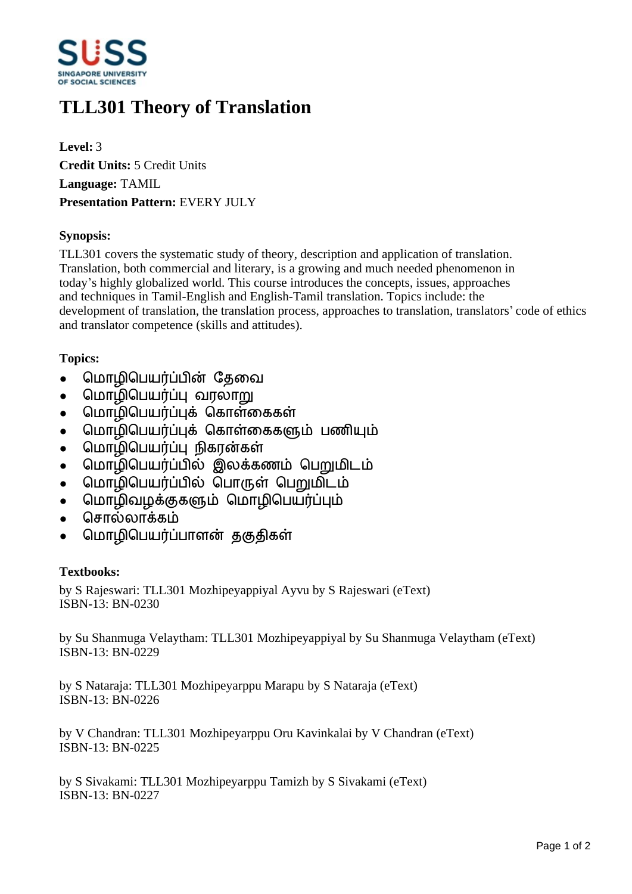

# **TLL301 Theory of Translation**

**Level:** 3 **Credit Units:** 5 Credit Units **Language:** TAMIL **Presentation Pattern:** EVERY JULY

### **Synopsis:**

TLL301 covers the systematic study of theory, description and application of translation. Translation, both commercial and literary, is a growing and much needed phenomenon in today's highly globalized world. This course introduces the concepts, issues, approaches and techniques in Tamil-English and English-Tamil translation. Topics include: the development of translation, the translation process, approaches to translation, translators' code of ethics and translator competence (skills and attitudes).

## **Topics:**

- மொழிபெயர்ப்பின் கேவை
- மொழிபெயர்ப்பு வரலா<u>று</u>
- மொழிபெயர்ப்புக் கொள்கைகள்
- மொழிபெயர்ப்புக் கொள்கைகளும் பணியும்
- மொழிபெயர்ப்பு நிகரன்கள்
- மொழிபெயர்ப்பில் இலக்கணம் பெறுமிடம்
- மொழிபெயர்ப்பில் பொருள் பெறுமிடம்
- மொழிவழக்குகளும் மொழிபெயர்ப்பும்
- சொல்லாக்கம்
- மொழிபெயர்ப்பாளன் தகுதிகள்

### **Textbooks:**

by S Rajeswari: TLL301 Mozhipeyappiyal Ayvu by S Rajeswari (eText) ISBN-13: BN-0230

by Su Shanmuga Velaytham: TLL301 Mozhipeyappiyal by Su Shanmuga Velaytham (eText) ISBN-13: BN-0229

by S Nataraja: TLL301 Mozhipeyarppu Marapu by S Nataraja (eText) ISBN-13: BN-0226

by V Chandran: TLL301 Mozhipeyarppu Oru Kavinkalai by V Chandran (eText) ISBN-13: BN-0225

by S Sivakami: TLL301 Mozhipeyarppu Tamizh by S Sivakami (eText) ISBN-13: BN-0227